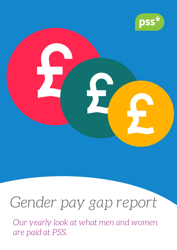

# *Gender pay gap report*

*Our yearly look at what men and women are paid at PSS.*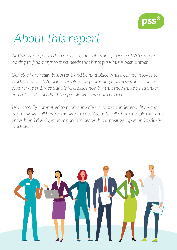

#### *About this report*

*At PSS, we're focused on delivering an outstanding service. We're always looking to find ways to meet needs that have previously been unmet.*

*Our staff are really important, and being a place where our team loves to work is a must. We pride ourselves on promoting a diverse and inclusive culture; we embrace our differences, knowing that they make us stronger and reflect the needs of the people who use our services.*

*We're totally committed to promoting diversity and gender equality - and we know we still have some work to do. We offer all of our people the same growth and development opportunities within a positive, open and inclusive workplace.*

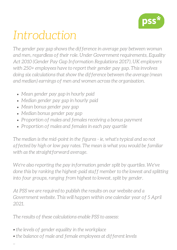

## *Introduction*

*The gender pay gap shows the difference in average pay between woman and men, regardless of their role. Under Government requirements, Equality Act 2010 (Gender Pay Gap Information Regulations 2017), UK employers with 250+ employees have to report their gender pay gap. This involves doing six calculations that show the difference between the average (mean and median) earnings of men and women across the organisation.*

- *Mean gender pay gap in hourly paid*
- *Median gender pay gap in hourly paid*
- *Mean bonus gender pay gap*
- *Median bonus gender pay gap*
- *Proportion of males and females receiving a bonus payment*
- *Proportion of males and females in each pay quartile*

*The median is the mid-point in the figures - ie, what's typical and so not affected by high or low pay rates. The mean is what you would be familiar with as the straightforward average.*

*We're also reporting the pay information gender split by quartiles. We've done this by ranking the highest-paid staff member to the lowest and splitting into four groups, ranging from highest to lowest, split by gender.*

*At PSS we are required to publish the results on our website and a Government website. This will happen within one calendar year of 5 April 2021.*

*The results of these calculations enable PSS to assess:*

*• the levels of gender equality in the workplace*

*..*

*• the balance of male and female employees at different levels*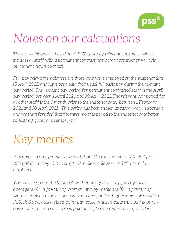

#### *Notes on our calculations*

*These calculations are based on all PSS's full-pay relevant employees which includes all staff with a permanent contract, temporary contract or variable permanent-hours contract.*

*Full-pay relevant employees are those who were employed on the snapshot date (5 April 2021) and have been paid their usual full basic pay during the relevant pay period. The relevant pay period for permanent contracted staff is the April pay period, between 1 April 2021 and 30 April 2021. The relevant pay period for all other staff is the 3 month prior to the snapshot date, (between 1 February 2021 and 30 April 2021). This period has been chosen as casual work is sporadic and we therefore feel that the three months period to the snapshot date better reflects a figure for average pay.*

## *Key metrics*

*PSS has a strong female representation. On the snapshot date (5 April 2021) PSS employed 262 staff, 64 male employees and 198 female employees.*

*You will see from the table below that our gender pay gap by mean average is 6% in favour of women, and by median is 8% in favour of women which is due to more woman being in the higher paid roles within PSS. PSS operates a fixed point pay scale which means that pay is purely based on role, and each role is paid at single rate regardless of gender.*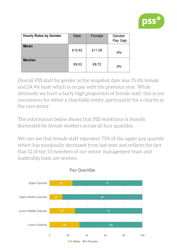

| <b>Hourly Rates by Gender</b> | <b>Male</b> | Female | Gender<br>Pay Gap |
|-------------------------------|-------------|--------|-------------------|
| <b>Mean</b>                   | £10.62      | £11.26 | $-6%$             |
| <b>Median</b>                 | £9.03       | £9.72  | $-8%$             |

Overall PSS staff by gender at the snapshot date was 75.6% female and 24.4% male which is on par with the previous year. While obviously we have a fairly high proportion of female staff, this is not uncommon for either a charitable entity, particularly for a charity in the care sector.

The information below shows that PSS workforce is heavily dominated by female workers across all four quartiles.

We can see that female staff represent 75% of the upper pay quartile which has marginally decreased from last year and reflects the fact that 12 of the 13 members of our senior management team and leadership team are women.

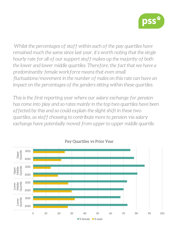

*Whilst the percentages of staff within each of the pay quartiles have remained much the same since last year, it's worth noting that the single hourly rate for all of our support staff makes up the majority of both the lower and lower middle quartiles. Therefore, the fact that we have a predominantly female workforce means that even small fluctuations/movement in the number of males on this rate can have an impact on the percentages of the genders sitting within these quartiles.*

*This is the first reporting year where our salary exchange for pension has come into play and so rates mainly in the top two quartiles have been affected by this and so could explain the slight shift in these two quartiles, as staff choosing to contribute more to pension via salary exchange have potentially moved from upper to upper middle quartile.*



Pay Quartiles vs Prior Year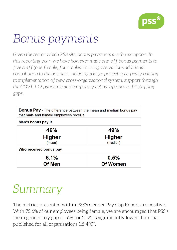

### *Bonus payments*

*Given the sector which PSS sits, bonus payments are the exception. In this reporting year, we have however made one-off bonus payments to five staff (one female; four males) to recognise various additional contribution to the business, including a large project specifically relating to implementation of new cross-organisational system; support through the COVID-19 pandemic and temporary acting-up roles to fill staffing gaps.*

| <b>Bonus Pay</b> - The difference between the mean and median bonus pay<br>that male and female employees receive |                 |  |
|-------------------------------------------------------------------------------------------------------------------|-----------------|--|
| Men's bonus pay is                                                                                                |                 |  |
| 46%                                                                                                               | 49%             |  |
| <b>Higher</b>                                                                                                     | <b>Higher</b>   |  |
| (mean)                                                                                                            | (median)        |  |
| Who received bonus pay                                                                                            |                 |  |
| 6.1%                                                                                                              | 0.5%            |  |
| <b>Of Men</b>                                                                                                     | <b>Of Women</b> |  |

#### *Summary*

The metrics presented within PSS's Gender Pay Gap Report are positive. With 75.6% of our employees being female, we are encouraged that PSS's mean gender pay gap of -6% for 2021 is significantly lower than that published for all organisations (15.4%)\*.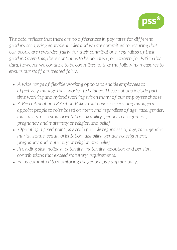

*The data reflects that there are no differences in pay rates for different genders occupying equivalent roles and we are committed to ensuring that our people are rewarded fairly for their contributions, regardless of their gender. Given this, there continues to be no cause for concern for PSS in this data, however we continue to be committed to take the following measures to ensure our staff are treated fairly:*

- *A wide range of flexible working options to enable employees to effectively manage their work/life balance. These options include parttime working and hybrid working which many of our employees choose.*
- *A Recruitment and Selection Policy that ensures recruiting managers appoint people to roles based on merit and regardless of age, race, gender, marital status, sexual orientation, disability, gender reassignment, pregnancy and maternity or religion and belief.*
- *Operating a fixed point pay scale per role regardless of age, race, gender, marital status, sexual orientation, disability, gender reassignment, pregnancy and maternity or religion and belief.*
- *Providing sick, holiday, paternity, maternity, adoption and pension contributions that exceed statutory requirements.*
- *Being committed to monitoring the gender pay gap annually.*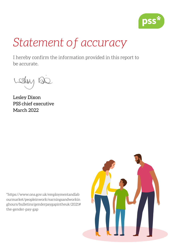

#### *Statement of accuracy*

I hereby confirm the information provided in this report to be accurate.

Lesley Dixon PSS chief executive March 2022

\*https://www.ons.gov.uk/employmentandlab ourmarket/peopleinwork/earningsandworkin ghours/bulletins/genderpaygapintheuk/2021# the-gender-pay-gap